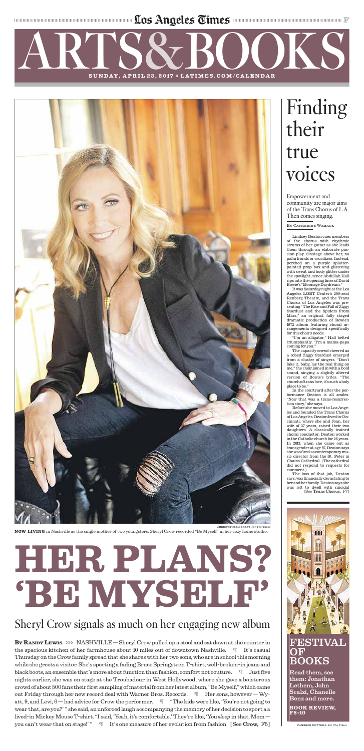The continuum communication of the state of the state of the state of the continuum communication of the state of the continuum continuum communication of the contract of the contract of the contract of the contract of the

## ARTS SUNDAY, APRIL 23, 2017 = LATIMES.COM/CALENDAR BOOKS

**NOW LIVING** in Nashville as the single mother of two youngsters, Sheryl Crow recorded "Be Myself" in her cozy home studio.



# **HER PLANS? 'BE MYSELF'**

## Sheryl Crow signals as much on her engaging new album

**By RANDY LEWIS** >>> NASHVILLE — Sheryl Crow pulled up a stool and sat down at the counter in the spacious kitchen of her farmhouse about 10 miles out of downtown Nashville. ¶ It's casual Thursday on the Crow family spread that she shares with her two sons, who are in school this morning while she greets a visitor. She's sporting a fading Bruce Springsteen T-shirt, well-broken-in jeans and black boots, an ensemble that's more about function than fashion, comfort not couture.  $\blacksquare$  Just five nights earlier, she was on stage at the Troubadour in West Hollywood, where she gave a boisterous crowd of about 500 fans their first sampling ofmaterial from her latest album, "BeMyself,"which came out Friday through her new record deal with Warner Bros. Records.  $\mathbb{I}$  Her sons, however  $-Wy$ att, 9, and Levi, 6 — had advice for Crow the performer. ¶ "The kids were like, 'You're not going to wear that, are you?' " she said, an unforced laugh accompanying thememory of her decision to sport a a lived-in Mickey Mouse T-shirt. "I said, 'Yeah, it's comfortable.' They're like, 'You *sleep* in that, Mom you can't wear that on stage!' " $\parallel$  It's one measure of her evolution from fashion [See Crow, F5]

Lindsey Deaton cues members of the chorus with rhythmic strums of her guitar as she leads them through an elaborate passion play. Onstage above her, no palm fronds or crucifixes. Instead, perched on a purple splatterpainted prop box and glistening with sweat and body glitter under the spotlight, tenor Abdullah Hall rips into the opening lines of David Bowie's "Moonage Daydream."

### FESTIVA **OF** BOOKS

It was Saturday night at the Los Angeles LGBT Center's 200-seat Renberg Theatre, and the Trans Chorus of Los Angeles was presenting "The Rise and Fall of Ziggy Stardust and the Spiders From Mars," an original, fully staged dramatic production of Bowie's 1972 album featuring choral arrangements designed specifically for this choir's needs.

"I'm an alligator," Hall belted triumphantly. "I'm a mama-papa coming for you."

The capacity crowd cheered as a robed Ziggy Stardust emerged from a cluster of singers. "Don't fake it, baby, lay the real thing on me," the choir joined in with a bold sound, singing a slightly altered version of Bowie's lyrics. "The church of trans love, it's such a holy place to be."

In the courtyard after the performance Deaton is all smiles. "Now that was a trans-resurrection story," she says.

Before she moved to Los Angeles and founded the Trans Chorus of Los Angeles, Deaton lived in Cin-

cinnati, where she and Joan, her wife of 37 years, raised their two daughters. A classically trained choral conductor, Deaton worked in the Catholic church for 25 years. In 2013, when she came out as transgender at age 57, Deaton says she was fired as contemporarymusic director from the St. Peter in Chains Cathedral. (The cathedral did not respond to requests for comment.)

## Finding their true voices

The loss of that job, Deaton says, was financially devastating to her and her family.Deaton says she was left to dwell with suicidal [See Trans Chorus, F7]



Empowerment and community are major aims of the Trans Chorus of L.A. Then comes singing.

BY CATHERINE WOMACK

Read them, see them: Jonathan Lethem, John Scalzi, Chanelle Benz and more.

**BOOK REVIEW, F8-10**

CAMERON COTTRILL For The Times